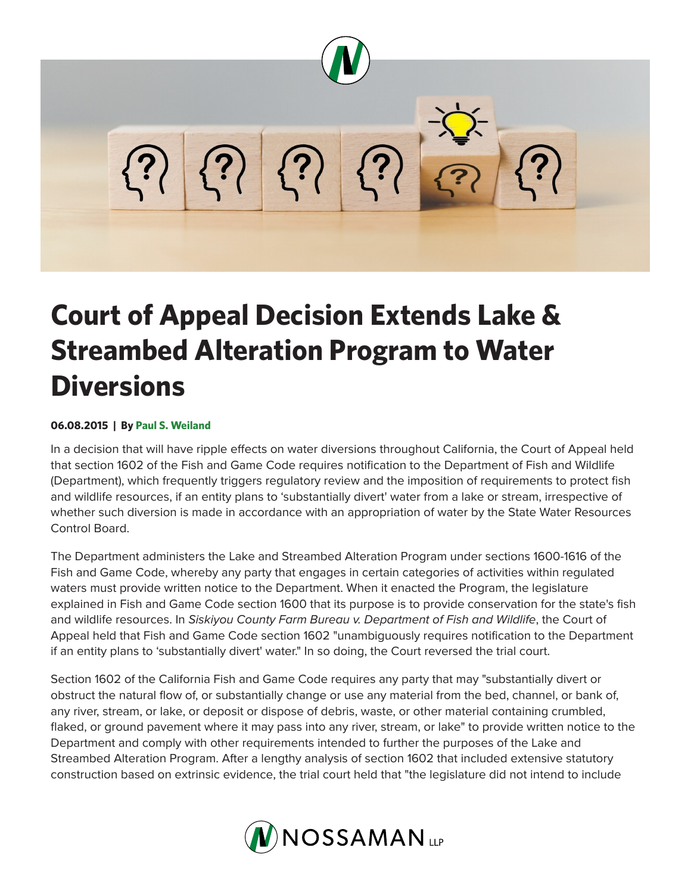

## **Court of Appeal Decision Extends Lake & Streambed Alteration Program to Water Diversions**

## **06.08.2015 | By Paul S. Weiland**

In a decision that will have ripple effects on water diversions throughout California, the Court of Appeal held that section 1602 of the Fish and Game Code requires notification to the Department of Fish and Wildlife (Department), which frequently triggers regulatory review and the imposition of requirements to protect fish and wildlife resources, if an entity plans to 'substantially divert' water from a lake or stream, irrespective of whether such diversion is made in accordance with an appropriation of water by the State Water Resources Control Board.

The Department administers the Lake and Streambed Alteration Program under sections 1600-1616 of the Fish and Game Code, whereby any party that engages in certain categories of activities within regulated waters must provide written notice to the Department. When it enacted the Program, the legislature explained in Fish and Game Code section 1600 that its purpose is to provide conservation for the state's fish and wildlife resources. In *Siskiyou County Farm Bureau v. Department of Fish and Wildlife*, the Court of Appeal held that Fish and Game Code section 1602 "unambiguously requires notification to the Department if an entity plans to 'substantially divert' water." In so doing, the Court reversed the trial court.

Section 1602 of the California Fish and Game Code requires any party that may "substantially divert or obstruct the natural flow of, or substantially change or use any material from the bed, channel, or bank of, any river, stream, or lake, or deposit or dispose of debris, waste, or other material containing crumbled, flaked, or ground pavement where it may pass into any river, stream, or lake" to provide written notice to the Department and comply with other requirements intended to further the purposes of the Lake and Streambed Alteration Program. After a lengthy analysis of section 1602 that included extensive statutory construction based on extrinsic evidence, the trial court held that "the legislature did not intend to include